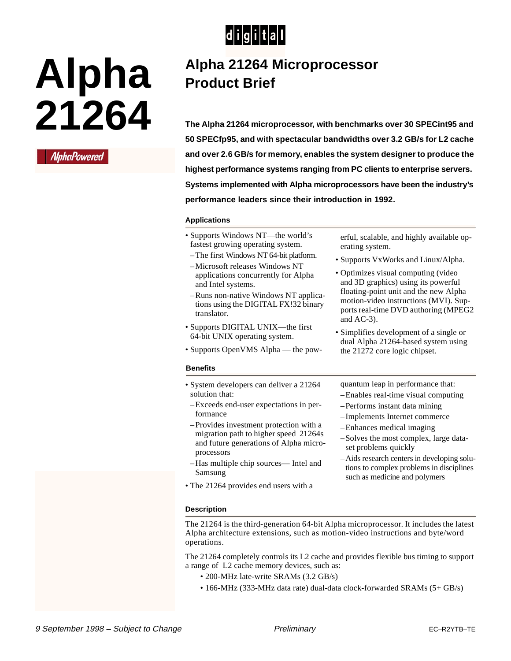

# **Alpha 21264**



# **Alpha 21264 Microprocessor Product Brief**

**The Alpha 21264 microprocessor, with benchmarks over 30 SPECint95 and 50 SPECfp95, and with spectacular bandwidths over 3.2 GB/s for L2 cache and over 2.6 GB/s for memory, enables the system designer to produce the highest performance systems ranging from PC clients to enterprise servers. Systems implemented with Alpha microprocessors have been the industry's performance leaders since their introduction in 1992.**

## **Applications**

- Supports Windows NT—the world's fastest growing operating system.
- –The first Windows NT 64-bit platform. –Microsoft releases Windows NT
- applications concurrently for Alpha and Intel systems.
- –Runs non-native Windows NT applications using the DIGITAL FX!32 binary translator.
- Supports DIGITAL UNIX—the first 64-bit UNIX operating system.
- Supports OpenVMS Alpha the pow-

#### **Benefits**

- System developers can deliver a 21264 solution that:
- –Exceeds end-user expectations in performance
- –Provides investment protection with a migration path to higher speed 21264s and future generations of Alpha microprocessors
- –Has multiple chip sources— Intel and Samsung
- The 21264 provides end users with a

erful, scalable, and highly available operating system.

- Supports VxWorks and Linux/Alpha.
- Optimizes visual computing (video and 3D graphics) using its powerful floating-point unit and the new Alpha motion-video instructions (MVI). Supports real-time DVD authoring (MPEG2 and AC-3).
- Simplifies development of a single or dual Alpha 21264-based system using the 21272 core logic chipset.

quantum leap in performance that:

- –Enables real-time visual computing
- –Performs instant data mining
- –Implements Internet commerce
- –Enhances medical imaging
- –Solves the most complex, large dataset problems quickly
- –Aids research centers in developing solutions to complex problems in disciplines such as medicine and polymers

#### **Description**

The 21264 is the third-generation 64-bit Alpha microprocessor. It includes the latest Alpha architecture extensions, such as motion-video instructions and byte/word operations.

The 21264 completely controls its L2 cache and provides flexible bus timing to support a range of L2 cache memory devices, such as:

- 200-MHz late-write SRAMs (3.2 GB/s)
- 166-MHz (333-MHz data rate) dual-data clock-forwarded SRAMs (5+ GB/s)